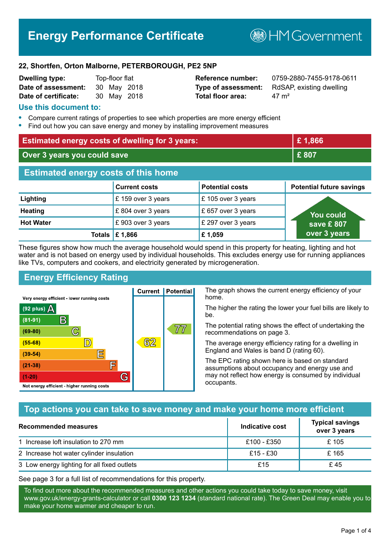# **Energy Performance Certificate**

**B**HM Government

#### **22, Shortfen, Orton Malborne, PETERBOROUGH, PE2 5NP**

| <b>Dwelling type:</b> | Top-floor flat |             |
|-----------------------|----------------|-------------|
| Date of assessment:   | 30 May 2018    |             |
| Date of certificate:  |                | 30 May 2018 |

**Total floor area:**  $47 \text{ m}^2$ 

**Reference number:** 0759-2880-7455-9178-0611 **Type of assessment:** RdSAP, existing dwelling

#### **Use this document to:**

- **•** Compare current ratings of properties to see which properties are more energy efficient
- **•** Find out how you can save energy and money by installing improvement measures

| <b>Estimated energy costs of dwelling for 3 years:</b> |                                 | £1,866                 |                                 |
|--------------------------------------------------------|---------------------------------|------------------------|---------------------------------|
| Over 3 years you could save                            |                                 | £807                   |                                 |
| <b>Estimated energy costs of this home</b>             |                                 |                        |                                 |
|                                                        | <b>Current costs</b>            | <b>Potential costs</b> | <b>Potential future savings</b> |
| Lighting                                               | £159 over 3 years               | £105 over 3 years      |                                 |
| <b>Heating</b>                                         | £804 over 3 years               | £657 over 3 years      | <b>You could</b>                |
| <b>Hot Water</b>                                       | £903 over 3 years               | £ 297 over 3 years     | save £807                       |
|                                                        | Totals $\mathbf \epsilon$ 1,866 | £1,059                 | over 3 years                    |

These figures show how much the average household would spend in this property for heating, lighting and hot water and is not based on energy used by individual households. This excludes energy use for running appliances like TVs, computers and cookers, and electricity generated by microgeneration.

**Current | Potential** 

62

## **Energy Efficiency Rating**

 $\mathbb{C}$ 

 $\mathbb{D}$ 

E

肩

G

Very energy efficient - lower running costs

 $\mathsf{R}% _{T}$ 

Not energy efficient - higher running costs

 $(92$  plus)

 $(81 - 91)$ 

 $(69 - 80)$ 

 $(55-68)$ 

 $(39 - 54)$ 

 $(21-38)$ 

 $(1-20)$ 

- 70

The graph shows the current energy efficiency of your home.

The higher the rating the lower your fuel bills are likely to be.

The potential rating shows the effect of undertaking the recommendations on page 3.

The average energy efficiency rating for a dwelling in England and Wales is band D (rating 60).

The EPC rating shown here is based on standard assumptions about occupancy and energy use and may not reflect how energy is consumed by individual occupants.

## **Top actions you can take to save money and make your home more efficient**

77

| Recommended measures                        | Indicative cost | <b>Typical savings</b><br>over 3 years |
|---------------------------------------------|-----------------|----------------------------------------|
| 1 Increase loft insulation to 270 mm        | £100 - £350     | £ 105                                  |
| 2 Increase hot water cylinder insulation    | £15 - £30       | £165                                   |
| 3 Low energy lighting for all fixed outlets | £15             | £45                                    |

See page 3 for a full list of recommendations for this property.

To find out more about the recommended measures and other actions you could take today to save money, visit www.gov.uk/energy-grants-calculator or call **0300 123 1234** (standard national rate). The Green Deal may enable you to make your home warmer and cheaper to run.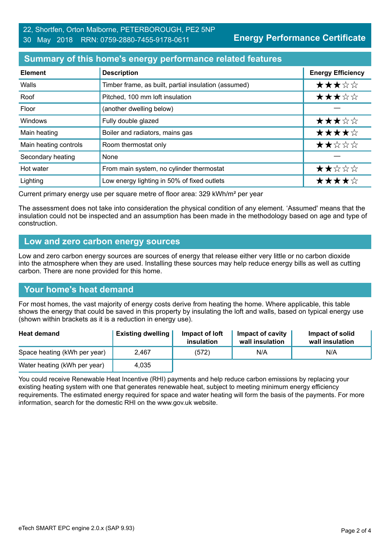**Energy Performance Certificate**

## **Summary of this home's energy performance related features**

| <b>Element</b>        | <b>Description</b>                                   | <b>Energy Efficiency</b> |
|-----------------------|------------------------------------------------------|--------------------------|
| Walls                 | Timber frame, as built, partial insulation (assumed) | ★★★☆☆                    |
| Roof                  | Pitched, 100 mm loft insulation                      | ★★★☆☆                    |
| Floor                 | (another dwelling below)                             |                          |
| Windows               | Fully double glazed                                  | ★★★☆☆                    |
| Main heating          | Boiler and radiators, mains gas                      | ★★★★☆                    |
| Main heating controls | Room thermostat only                                 | ★★☆☆☆                    |
| Secondary heating     | None                                                 |                          |
| Hot water             | From main system, no cylinder thermostat             | ★★☆☆☆                    |
| Lighting              | Low energy lighting in 50% of fixed outlets          | ★★★★☆                    |

Current primary energy use per square metre of floor area: 329 kWh/m² per year

The assessment does not take into consideration the physical condition of any element. 'Assumed' means that the insulation could not be inspected and an assumption has been made in the methodology based on age and type of construction.

#### **Low and zero carbon energy sources**

Low and zero carbon energy sources are sources of energy that release either very little or no carbon dioxide into the atmosphere when they are used. Installing these sources may help reduce energy bills as well as cutting carbon. There are none provided for this home.

## **Your home's heat demand**

For most homes, the vast majority of energy costs derive from heating the home. Where applicable, this table shows the energy that could be saved in this property by insulating the loft and walls, based on typical energy use (shown within brackets as it is a reduction in energy use).

| <b>Heat demand</b>           | <b>Existing dwelling</b> | Impact of loft<br>insulation | Impact of cavity<br>wall insulation | Impact of solid<br>wall insulation |
|------------------------------|--------------------------|------------------------------|-------------------------------------|------------------------------------|
| Space heating (kWh per year) | 2.467                    | (572)                        | N/A                                 | N/A                                |
| Water heating (kWh per year) | 4.035                    |                              |                                     |                                    |

You could receive Renewable Heat Incentive (RHI) payments and help reduce carbon emissions by replacing your existing heating system with one that generates renewable heat, subject to meeting minimum energy efficiency requirements. The estimated energy required for space and water heating will form the basis of the payments. For more information, search for the domestic RHI on the www.gov.uk website.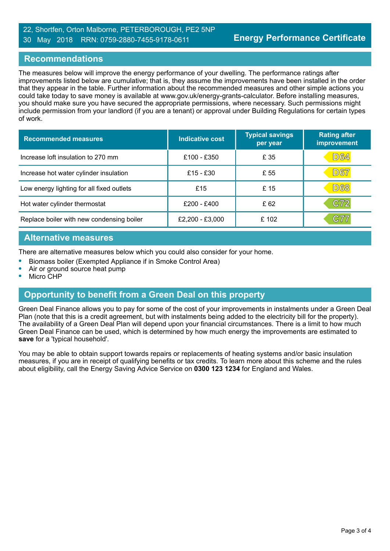#### 22, Shortfen, Orton Malborne, PETERBOROUGH, PE2 5NP 30 May 2018 RRN: 0759-2880-7455-9178-0611

### **Recommendations**

The measures below will improve the energy performance of your dwelling. The performance ratings after improvements listed below are cumulative; that is, they assume the improvements have been installed in the order that they appear in the table. Further information about the recommended measures and other simple actions you could take today to save money is available at www.gov.uk/energy-grants-calculator. Before installing measures, you should make sure you have secured the appropriate permissions, where necessary. Such permissions might include permission from your landlord (if you are a tenant) or approval under Building Regulations for certain types of work.

| <b>Recommended measures</b>               | Indicative cost | <b>Typical savings</b><br>per year | <b>Rating after</b><br>improvement |
|-------------------------------------------|-----------------|------------------------------------|------------------------------------|
| Increase loft insulation to 270 mm        | £100 - £350     | £ 35                               | D64                                |
| Increase hot water cylinder insulation    | £15 - £30       | £ 55                               | D67                                |
| Low energy lighting for all fixed outlets | £15             | £15                                | D68                                |
| Hot water cylinder thermostat             | £200 - £400     | £62                                | C72                                |
| Replace boiler with new condensing boiler | £2,200 - £3,000 | £102                               | C77                                |

### **Alternative measures**

There are alternative measures below which you could also consider for your home.

- **•** Biomass boiler (Exempted Appliance if in Smoke Control Area)
- **•** Air or ground source heat pump

**•** Micro CHP

## **Opportunity to benefit from a Green Deal on this property**

Green Deal Finance allows you to pay for some of the cost of your improvements in instalments under a Green Deal Plan (note that this is a credit agreement, but with instalments being added to the electricity bill for the property). The availability of a Green Deal Plan will depend upon your financial circumstances. There is a limit to how much Green Deal Finance can be used, which is determined by how much energy the improvements are estimated to **save** for a 'typical household'.

You may be able to obtain support towards repairs or replacements of heating systems and/or basic insulation measures, if you are in receipt of qualifying benefits or tax credits. To learn more about this scheme and the rules about eligibility, call the Energy Saving Advice Service on **0300 123 1234** for England and Wales.